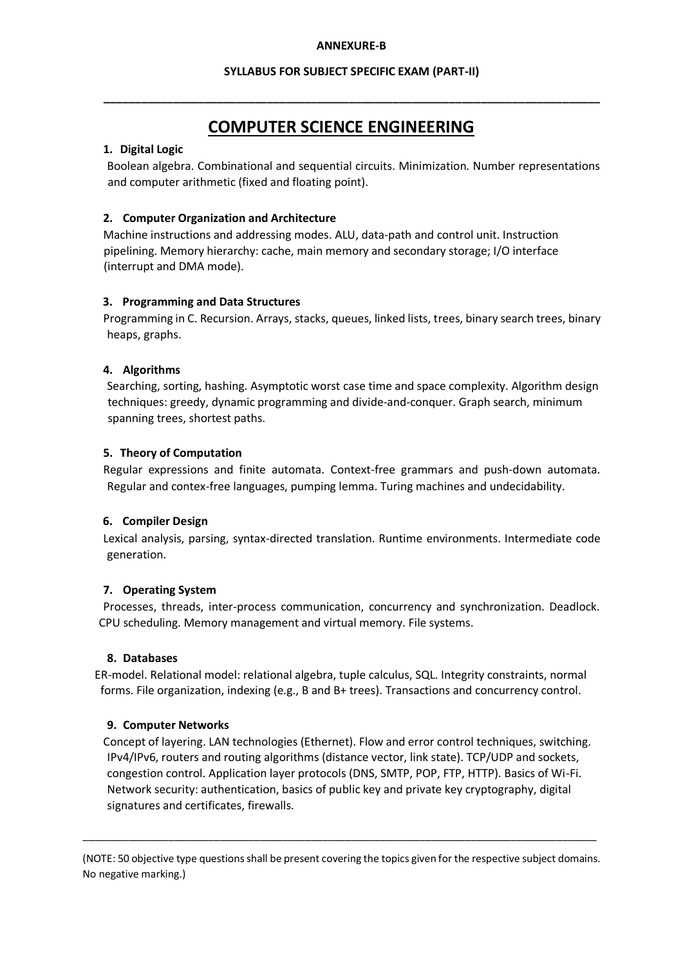#### **SYLLABUS FOR SUBJECT SPECIFIC EXAM (PART-II)**

**\_\_\_\_\_\_\_\_\_\_\_\_\_\_\_\_\_\_\_\_\_\_\_\_\_\_\_\_\_\_\_\_\_\_\_\_\_\_\_\_\_\_\_\_\_\_\_\_\_\_\_\_\_\_\_\_\_\_\_\_\_\_\_\_\_\_\_\_\_\_\_\_\_\_\_\_\_\_\_** 

## **COMPUTER SCIENCE ENGINEERING**

## **1. Digital Logic**

Boolean algebra. Combinational and sequential circuits. Minimization. Number representations and computer arithmetic (fixed and floating point).

## **2. Computer Organization and Architecture**

Machine instructions and addressing modes. ALU, data‐path and control unit. Instruction pipelining. Memory hierarchy: cache, main memory and secondary storage; I/O interface (interrupt and DMA mode).

## **3. Programming and Data Structures**

Programming in C. Recursion. Arrays, stacks, queues, linked lists, trees, binary search trees, binary heaps, graphs.

## **4. Algorithms**

Searching, sorting, hashing. Asymptotic worst case time and space complexity. Algorithm design techniques: greedy, dynamic programming and divide‐and‐conquer. Graph search, minimum spanning trees, shortest paths.

## **5. Theory of Computation**

Regular expressions and finite automata. Context-free grammars and push-down automata. Regular and contex-free languages, pumping lemma. Turing machines and undecidability.

### **6. Compiler Design**

Lexical analysis, parsing, syntax-directed translation. Runtime environments. Intermediate code generation.

## **7. Operating System**

Processes, threads, inter‐process communication, concurrency and synchronization. Deadlock. CPU scheduling. Memory management and virtual memory. File systems.

### **8. Databases**

ER‐model. Relational model: relational algebra, tuple calculus, SQL. Integrity constraints, normal forms. File organization, indexing (e.g., B and B+ trees). Transactions and concurrency control.

### **9. Computer Networks**

Concept of layering. LAN technologies (Ethernet). Flow and error control techniques, switching. IPv4/IPv6, routers and routing algorithms (distance vector, link state). TCP/UDP and sockets, congestion control. Application layer protocols (DNS, SMTP, POP, FTP, HTTP). Basics of Wi-Fi. Network security: authentication, basics of public key and private key cryptography, digital signatures and certificates, firewalls.

(NOTE: 50 objective type questions shall be present covering the topics given for the respective subject domains. No negative marking.)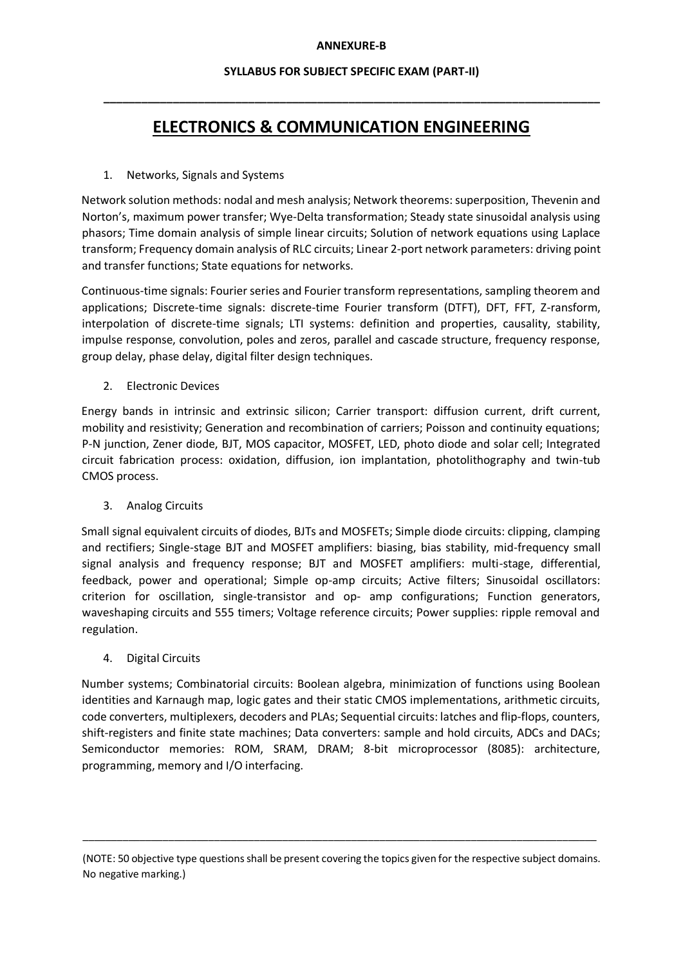## **SYLLABUS FOR SUBJECT SPECIFIC EXAM (PART-II)**

**\_\_\_\_\_\_\_\_\_\_\_\_\_\_\_\_\_\_\_\_\_\_\_\_\_\_\_\_\_\_\_\_\_\_\_\_\_\_\_\_\_\_\_\_\_\_\_\_\_\_\_\_\_\_\_\_\_\_\_\_\_\_\_\_\_\_\_\_\_\_\_\_\_\_\_\_\_\_\_** 

# **ELECTRONICS & COMMUNICATION ENGINEERING**

1. Networks, Signals and Systems

Network solution methods: nodal and mesh analysis; Network theorems: superposition, Thevenin and Norton's, maximum power transfer; Wye‐Delta transformation; Steady state sinusoidal analysis using phasors; Time domain analysis of simple linear circuits; Solution of network equations using Laplace transform; Frequency domain analysis of RLC circuits; Linear 2‐port network parameters: driving point and transfer functions; State equations for networks.

Continuous-time signals: Fourier series and Fourier transform representations, sampling theorem and applications; Discrete-time signals: discrete-time Fourier transform (DTFT), DFT, FFT, Z-ransform, interpolation of discrete-time signals; LTI systems: definition and properties, causality, stability, impulse response, convolution, poles and zeros, parallel and cascade structure, frequency response, group delay, phase delay, digital filter design techniques.

2. Electronic Devices

Energy bands in intrinsic and extrinsic silicon; Carrier transport: diffusion current, drift current, mobility and resistivity; Generation and recombination of carriers; Poisson and continuity equations; P-N junction, Zener diode, BJT, MOS capacitor, MOSFET, LED, photo diode and solar cell; Integrated circuit fabrication process: oxidation, diffusion, ion implantation, photolithography and twin-tub CMOS process.

3. Analog Circuits

Small signal equivalent circuits of diodes, BJTs and MOSFETs; Simple diode circuits: clipping, clamping and rectifiers; Single-stage BJT and MOSFET amplifiers: biasing, bias stability, mid-frequency small signal analysis and frequency response; BJT and MOSFET amplifiers: multi-stage, differential, feedback, power and operational; Simple op-amp circuits; Active filters; Sinusoidal oscillators: criterion for oscillation, single-transistor and op- amp configurations; Function generators, waveshaping circuits and 555 timers; Voltage reference circuits; Power supplies: ripple removal and regulation.

4. Digital Circuits

Number systems; Combinatorial circuits: Boolean algebra, minimization of functions using Boolean identities and Karnaugh map, logic gates and their static CMOS implementations, arithmetic circuits, code converters, multiplexers, decoders and PLAs; Sequential circuits: latches and flip‐flops, counters, shift-registers and finite state machines; Data converters: sample and hold circuits, ADCs and DACs; Semiconductor memories: ROM, SRAM, DRAM; 8-bit microprocessor (8085): architecture, programming, memory and I/O interfacing.

(NOTE: 50 objective type questions shall be present covering the topics given for the respective subject domains. No negative marking.)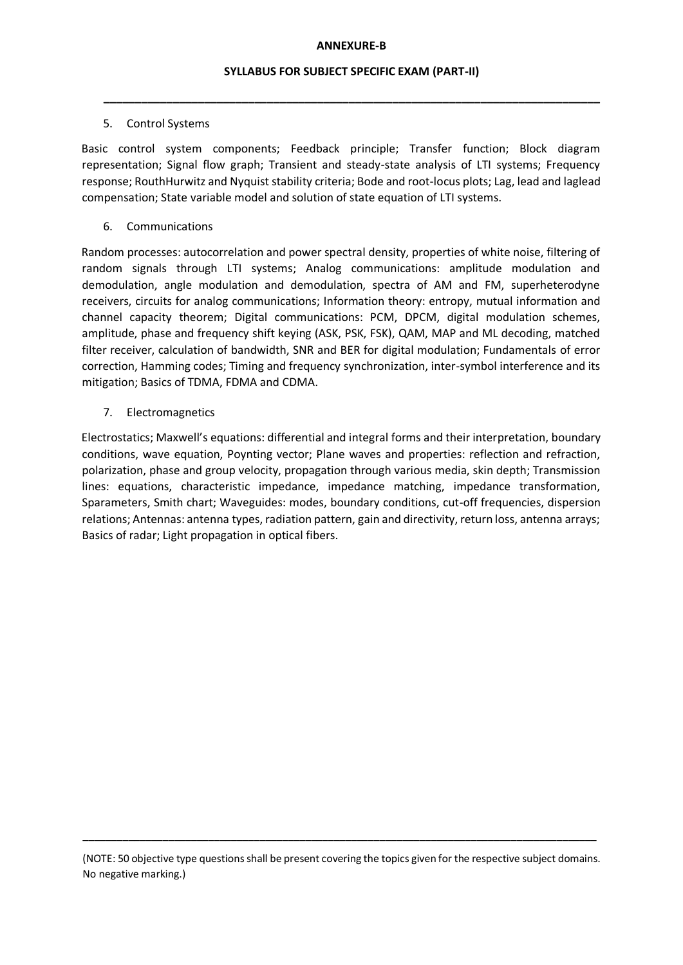#### **SYLLABUS FOR SUBJECT SPECIFIC EXAM (PART-II)**

**\_\_\_\_\_\_\_\_\_\_\_\_\_\_\_\_\_\_\_\_\_\_\_\_\_\_\_\_\_\_\_\_\_\_\_\_\_\_\_\_\_\_\_\_\_\_\_\_\_\_\_\_\_\_\_\_\_\_\_\_\_\_\_\_\_\_\_\_\_\_\_\_\_\_\_\_\_\_\_** 

## 5. Control Systems

Basic control system components; Feedback principle; Transfer function; Block diagram representation; Signal flow graph; Transient and steady-state analysis of LTI systems; Frequency response; RouthHurwitz and Nyquist stability criteria; Bode and root-locus plots; Lag, lead and laglead compensation; State variable model and solution of state equation of LTI systems.

6. Communications

Random processes: autocorrelation and power spectral density, properties of white noise, filtering of random signals through LTI systems; Analog communications: amplitude modulation and demodulation, angle modulation and demodulation, spectra of AM and FM, superheterodyne receivers, circuits for analog communications; Information theory: entropy, mutual information and channel capacity theorem; Digital communications: PCM, DPCM, digital modulation schemes, amplitude, phase and frequency shift keying (ASK, PSK, FSK), QAM, MAP and ML decoding, matched filter receiver, calculation of bandwidth, SNR and BER for digital modulation; Fundamentals of error correction, Hamming codes; Timing and frequency synchronization, inter-symbol interference and its mitigation; Basics of TDMA, FDMA and CDMA.

7. Electromagnetics

Electrostatics; Maxwell's equations: differential and integral forms and their interpretation, boundary conditions, wave equation, Poynting vector; Plane waves and properties: reflection and refraction, polarization, phase and group velocity, propagation through various media, skin depth; Transmission lines: equations, characteristic impedance, impedance matching, impedance transformation, Sparameters, Smith chart; Waveguides: modes, boundary conditions, cut-off frequencies, dispersion relations; Antennas: antenna types, radiation pattern, gain and directivity, return loss, antenna arrays; Basics of radar; Light propagation in optical fibers.

(NOTE: 50 objective type questions shall be present covering the topics given for the respective subject domains. No negative marking.)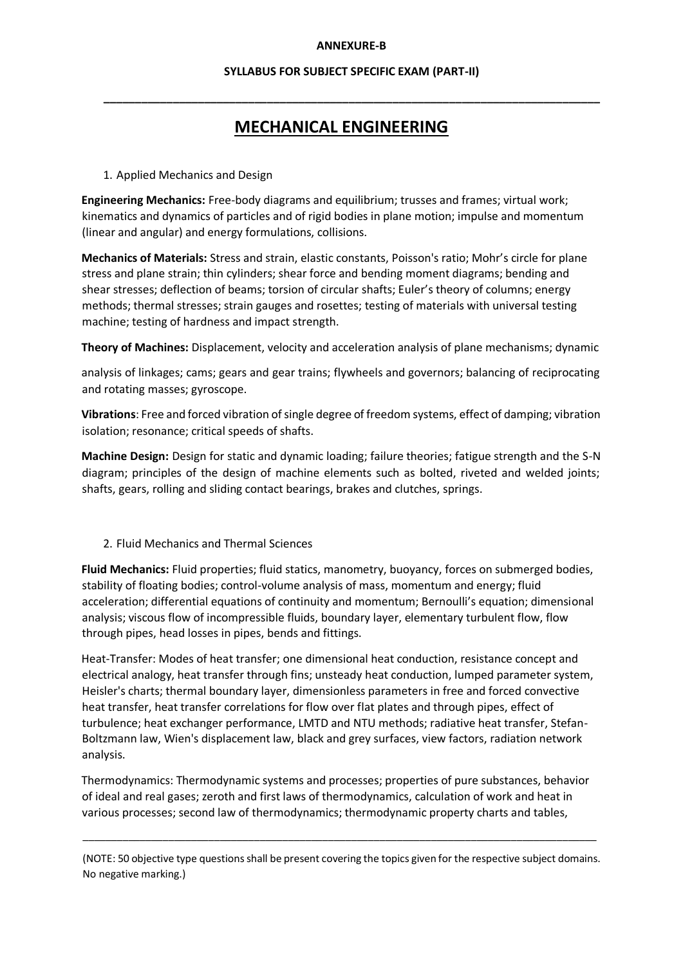#### **SYLLABUS FOR SUBJECT SPECIFIC EXAM (PART-II)**

**\_\_\_\_\_\_\_\_\_\_\_\_\_\_\_\_\_\_\_\_\_\_\_\_\_\_\_\_\_\_\_\_\_\_\_\_\_\_\_\_\_\_\_\_\_\_\_\_\_\_\_\_\_\_\_\_\_\_\_\_\_\_\_\_\_\_\_\_\_\_\_\_\_\_\_\_\_\_\_** 

# **MECHANICAL ENGINEERING**

1. Applied Mechanics and Design

**Engineering Mechanics:** Free-body diagrams and equilibrium; trusses and frames; virtual work; kinematics and dynamics of particles and of rigid bodies in plane motion; impulse and momentum (linear and angular) and energy formulations, collisions.

**Mechanics of Materials:** Stress and strain, elastic constants, Poisson's ratio; Mohr's circle for plane stress and plane strain; thin cylinders; shear force and bending moment diagrams; bending and shear stresses; deflection of beams; torsion of circular shafts; Euler's theory of columns; energy methods; thermal stresses; strain gauges and rosettes; testing of materials with universal testing machine; testing of hardness and impact strength.

**Theory of Machines:** Displacement, velocity and acceleration analysis of plane mechanisms; dynamic

analysis of linkages; cams; gears and gear trains; flywheels and governors; balancing of reciprocating and rotating masses; gyroscope.

**Vibrations**: Free and forced vibration of single degree of freedom systems, effect of damping; vibration isolation; resonance; critical speeds of shafts.

**Machine Design:** Design for static and dynamic loading; failure theories; fatigue strength and the S-N diagram; principles of the design of machine elements such as bolted, riveted and welded joints; shafts, gears, rolling and sliding contact bearings, brakes and clutches, springs.

## 2. Fluid Mechanics and Thermal Sciences

**Fluid Mechanics:** Fluid properties; fluid statics, manometry, buoyancy, forces on submerged bodies, stability of floating bodies; control-volume analysis of mass, momentum and energy; fluid acceleration; differential equations of continuity and momentum; Bernoulli's equation; dimensional analysis; viscous flow of incompressible fluids, boundary layer, elementary turbulent flow, flow through pipes, head losses in pipes, bends and fittings.

Heat-Transfer: Modes of heat transfer; one dimensional heat conduction, resistance concept and electrical analogy, heat transfer through fins; unsteady heat conduction, lumped parameter system, Heisler's charts; thermal boundary layer, dimensionless parameters in free and forced convective heat transfer, heat transfer correlations for flow over flat plates and through pipes, effect of turbulence; heat exchanger performance, LMTD and NTU methods; radiative heat transfer, Stefan-Boltzmann law, Wien's displacement law, black and grey surfaces, view factors, radiation network analysis.

Thermodynamics: Thermodynamic systems and processes; properties of pure substances, behavior of ideal and real gases; zeroth and first laws of thermodynamics, calculation of work and heat in various processes; second law of thermodynamics; thermodynamic property charts and tables,

(NOTE: 50 objective type questions shall be present covering the topics given for the respective subject domains. No negative marking.)